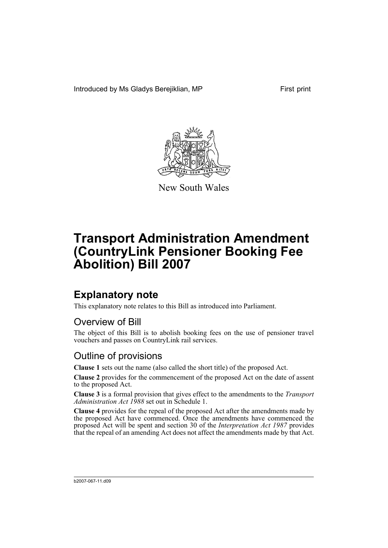Introduced by Ms Gladys Berejiklian, MP First print



New South Wales

# **Transport Administration Amendment (CountryLink Pensioner Booking Fee Abolition) Bill 2007**

# **Explanatory note**

This explanatory note relates to this Bill as introduced into Parliament.

## Overview of Bill

The object of this Bill is to abolish booking fees on the use of pensioner travel vouchers and passes on CountryLink rail services.

## Outline of provisions

**Clause 1** sets out the name (also called the short title) of the proposed Act.

**Clause 2** provides for the commencement of the proposed Act on the date of assent to the proposed Act.

**Clause 3** is a formal provision that gives effect to the amendments to the *Transport Administration Act 1988* set out in Schedule 1.

**Clause 4** provides for the repeal of the proposed Act after the amendments made by the proposed Act have commenced. Once the amendments have commenced the proposed Act will be spent and section 30 of the *Interpretation Act 1987* provides that the repeal of an amending Act does not affect the amendments made by that Act.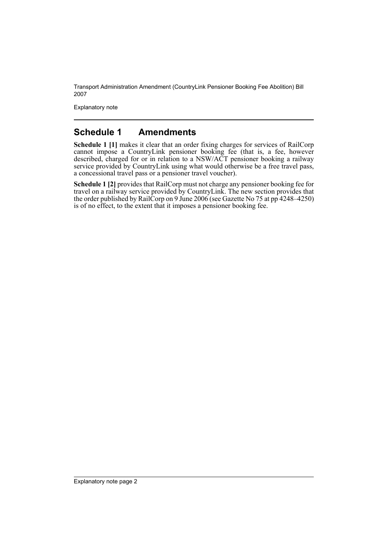Transport Administration Amendment (CountryLink Pensioner Booking Fee Abolition) Bill 2007

Explanatory note

#### **Schedule 1 Amendments**

**Schedule 1 [1]** makes it clear that an order fixing charges for services of RailCorp cannot impose a CountryLink pensioner booking fee (that is, a fee, however described, charged for or in relation to a NSW/ACT pensioner booking a railway service provided by CountryLink using what would otherwise be a free travel pass, a concessional travel pass or a pensioner travel voucher).

**Schedule 1 [2]** provides that RailCorp must not charge any pensioner booking fee for travel on a railway service provided by CountryLink. The new section provides that the order published by RailCorp on 9 June 2006 (see Gazette No 75 at pp 4248–4250) is of no effect, to the extent that it imposes a pensioner booking fee.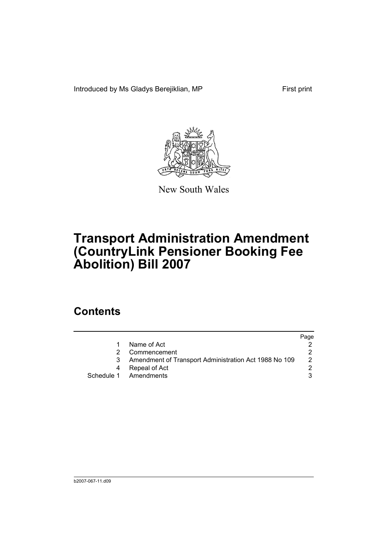Introduced by Ms Gladys Berejiklian, MP First print



New South Wales

# **Transport Administration Amendment (CountryLink Pensioner Booking Fee Abolition) Bill 2007**

# **Contents**

|                                                       | Page |
|-------------------------------------------------------|------|
| Name of Act                                           |      |
| Commencement                                          |      |
| Amendment of Transport Administration Act 1988 No 109 | 2    |
| Repeal of Act                                         |      |
| Schedule 1 Amendments                                 |      |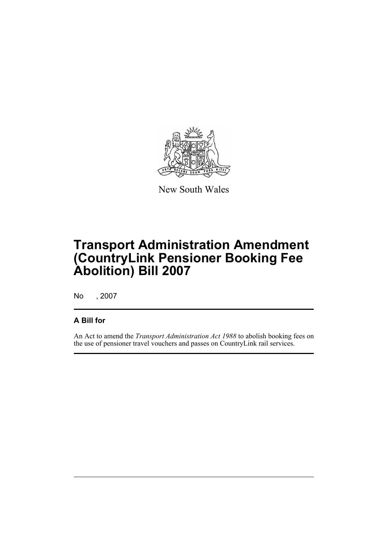

New South Wales

# **Transport Administration Amendment (CountryLink Pensioner Booking Fee Abolition) Bill 2007**

No , 2007

#### **A Bill for**

An Act to amend the *Transport Administration Act 1988* to abolish booking fees on the use of pensioner travel vouchers and passes on CountryLink rail services.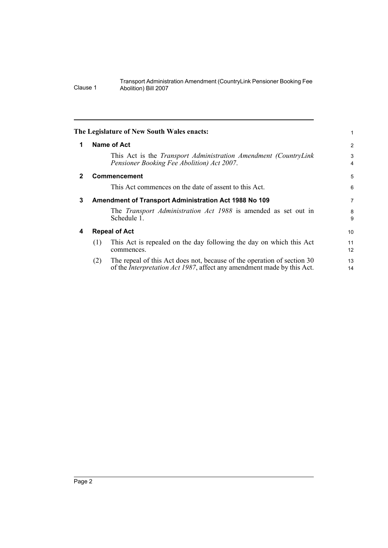<span id="page-5-3"></span><span id="page-5-2"></span><span id="page-5-1"></span><span id="page-5-0"></span>

|              |     | The Legislature of New South Wales enacts:                                                                                                                | 1               |
|--------------|-----|-----------------------------------------------------------------------------------------------------------------------------------------------------------|-----------------|
| $\mathbf 1$  |     | Name of Act                                                                                                                                               | 2               |
|              |     | This Act is the <i>Transport Administration Amendment (CountryLink</i> )<br>Pensioner Booking Fee Abolition) Act 2007.                                    | 3<br>4          |
| $\mathbf{2}$ |     | <b>Commencement</b>                                                                                                                                       | 5               |
|              |     | This Act commences on the date of assent to this Act.                                                                                                     | 6               |
| 3            |     | Amendment of Transport Administration Act 1988 No 109                                                                                                     | $\overline{7}$  |
|              |     | The <i>Transport Administration Act 1988</i> is amended as set out in<br>Schedule 1.                                                                      | 8<br>9          |
| 4            |     | <b>Repeal of Act</b>                                                                                                                                      | 10 <sup>1</sup> |
|              | (1) | This Act is repealed on the day following the day on which this Act<br>commences.                                                                         | 11<br>12        |
|              | (2) | The repeal of this Act does not, because of the operation of section 30<br>of the <i>Interpretation Act 1987</i> , affect any amendment made by this Act. | 13<br>14        |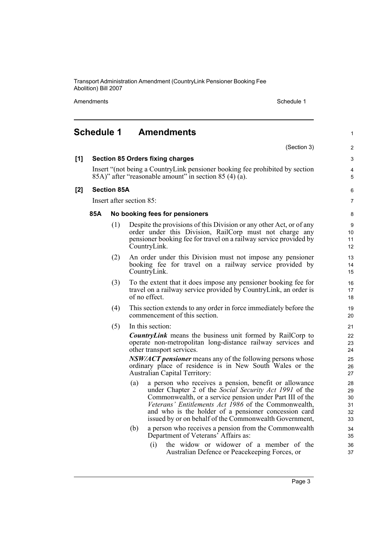Transport Administration Amendment (CountryLink Pensioner Booking Fee Abolition) Bill 2007

Amendments **Schedule 1** Schedule 1

#### <span id="page-6-0"></span>**Schedule 1 Amendments** (Section 3) **[1] Section 85 Orders fixing charges** Insert "(not being a CountryLink pensioner booking fee prohibited by section 85A)" after "reasonable amount" in section 85 (4) (a). **[2] Section 85A** Insert after section 85: **85A No booking fees for pensioners** (1) Despite the provisions of this Division or any other Act, or of any order under this Division, RailCorp must not charge any pensioner booking fee for travel on a railway service provided by CountryLink. (2) An order under this Division must not impose any pensioner booking fee for travel on a railway service provided by CountryLink. (3) To the extent that it does impose any pensioner booking fee for travel on a railway service provided by CountryLink, an order is of no effect. (4) This section extends to any order in force immediately before the commencement of this section. (5) In this section: *CountryLink* means the business unit formed by RailCorp to operate non-metropolitan long-distance railway services and other transport services. *NSW/ACT pensioner* means any of the following persons whose ordinary place of residence is in New South Wales or the Australian Capital Territory: (a) a person who receives a pension, benefit or allowance under Chapter 2 of the *Social Security Act 1991* of the Commonwealth, or a service pension under Part III of the *Veterans' Entitlements Act 1986* of the Commonwealth, and who is the holder of a pensioner concession card issued by or on behalf of the Commonwealth Government, (b) a person who receives a pension from the Commonwealth Department of Veterans' Affairs as: (i) the widow or widower of a member of the Australian Defence or Peacekeeping Forces, or 1  $\overline{2}$ 3 4 5 6 7 8  $\overline{Q}$ 10 11 12 13 14 15 16 17 18 19 20 21 22 23  $24$  $25$ 26 27 28 29 30 31 32 33 34 35 36 37